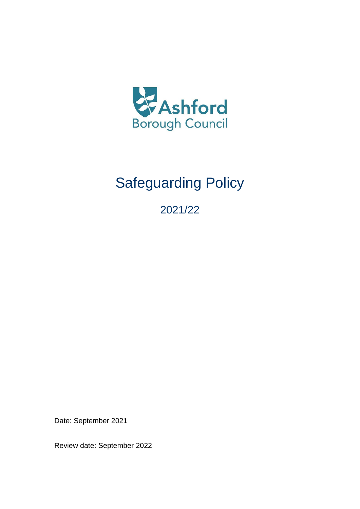

# Safeguarding Policy

2021/22

Date: September 2021

Review date: September 2022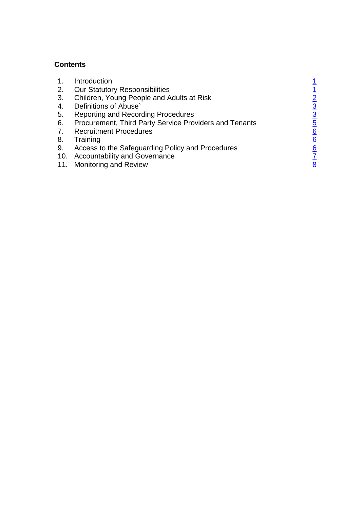#### **Contents**

| Introduction                                           |                  |
|--------------------------------------------------------|------------------|
| <b>Our Statutory Responsibilities</b>                  |                  |
| Children, Young People and Adults at Risk              |                  |
| Definitions of Abuse                                   | $\overline{3}$   |
| <b>Reporting and Recording Procedures</b>              | $\overline{3}$   |
| Procurement, Third Party Service Providers and Tenants | $\overline{5}$   |
| <b>Recruitment Procedures</b>                          | $\underline{6}$  |
| Training                                               | $6 \overline{6}$ |
| Access to the Safeguarding Policy and Procedures       | <u>6</u>         |
| <b>Accountability and Governance</b>                   |                  |
| <b>Monitoring and Review</b>                           | <u>8</u>         |
|                                                        |                  |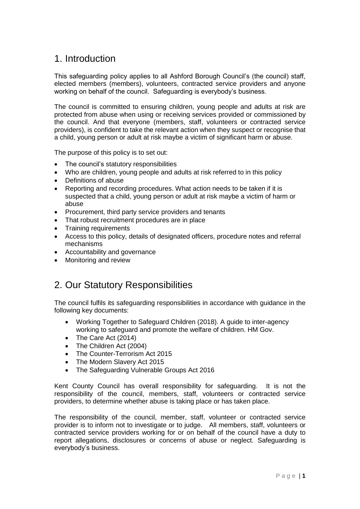# <span id="page-2-0"></span>1. Introduction

This safeguarding policy applies to all Ashford Borough Council's (the council) staff, elected members (members), volunteers, contracted service providers and anyone working on behalf of the council. Safeguarding is everybody's business.

The council is committed to ensuring children, young people and adults at risk are protected from abuse when using or receiving services provided or commissioned by the council. And that everyone (members, staff, volunteers or contracted service providers), is confident to take the relevant action when they suspect or recognise that a child, young person or adult at risk maybe a victim of significant harm or abuse.

The purpose of this policy is to set out:

- The council's statutory responsibilities
- Who are children, young people and adults at risk referred to in this policy
- Definitions of abuse
- Reporting and recording procedures. What action needs to be taken if it is suspected that a child, young person or adult at risk maybe a victim of harm or abuse
- Procurement, third party service providers and tenants
- That robust recruitment procedures are in place
- Training requirements
- Access to this policy, details of designated officers, procedure notes and referral mechanisms
- Accountability and governance
- Monitoring and review

### <span id="page-2-1"></span>2. Our Statutory Responsibilities

The council fulfils its safeguarding responsibilities in accordance with guidance in the following key documents:

- Working Together to Safeguard Children (2018). A guide to inter-agency working to safeguard and promote the welfare of children. HM Gov.
- The Care Act (2014)
- The Children Act (2004)
- The Counter-Terrorism Act 2015
- The Modern Slavery Act 2015
- The Safeguarding Vulnerable Groups Act 2016

Kent County Council has overall responsibility for safeguarding. It is not the responsibility of the council, members, staff, volunteers or contracted service providers, to determine whether abuse is taking place or has taken place.

The responsibility of the council, member, staff, volunteer or contracted service provider is to inform not to investigate or to judge. All members, staff, volunteers or contracted service providers working for or on behalf of the council have a duty to report allegations, disclosures or concerns of abuse or neglect. Safeguarding is everybody's business.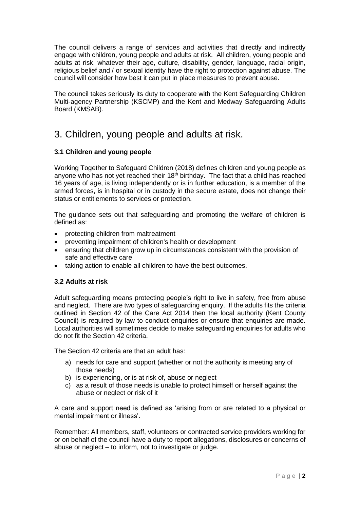The council delivers a range of services and activities that directly and indirectly engage with children, young people and adults at risk. All children, young people and adults at risk, whatever their age, culture, disability, gender, language, racial origin, religious belief and / or sexual identity have the right to protection against abuse. The council will consider how best it can put in place measures to prevent abuse.

The council takes seriously its duty to cooperate with the Kent Safeguarding Children Multi-agency Partnership (KSCMP) and the Kent and Medway Safeguarding Adults Board (KMSAB).

# <span id="page-3-0"></span>3. Children, young people and adults at risk.

#### **3.1 Children and young people**

Working Together to Safeguard Children (2018) defines children and young people as anyone who has not yet reached their 18<sup>th</sup> birthday. The fact that a child has reached 16 years of age, is living independently or is in further education, is a member of the armed forces, is in hospital or in custody in the secure estate, does not change their status or entitlements to services or protection.

The guidance sets out that safeguarding and promoting the welfare of children is defined as:

- protecting children from maltreatment
- preventing impairment of children's health or development
- ensuring that children grow up in circumstances consistent with the provision of safe and effective care
- taking action to enable all children to have the best outcomes.

#### **3.2 Adults at risk**

Adult safeguarding means protecting people's right to live in safety, free from abuse and neglect. There are two types of safeguarding enquiry. If the adults fits the criteria outlined in Section 42 of the Care Act 2014 then the local authority (Kent County Council) is required by law to conduct enquiries or ensure that enquiries are made. Local authorities will sometimes decide to make safeguarding enquiries for adults who do not fit the Section 42 criteria.

The Section 42 criteria are that an adult has:

- a) needs for care and support (whether or not the authority is meeting any of those needs)
- b) is experiencing, or is at risk of, abuse or neglect
- c) as a result of those needs is unable to protect himself or herself against the abuse or neglect or risk of it

A care and support need is defined as 'arising from or are related to a physical or mental impairment or illness'.

Remember: All members, staff, volunteers or contracted service providers working for or on behalf of the council have a duty to report allegations, disclosures or concerns of abuse or neglect – to inform, not to investigate or judge.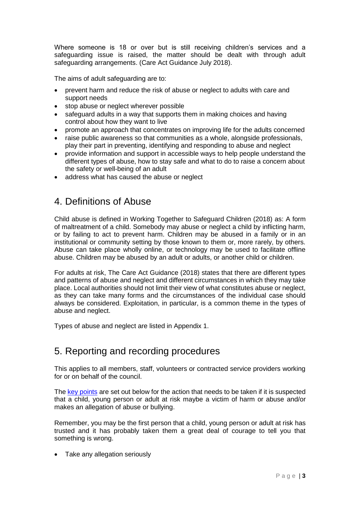Where someone is 18 or over but is still receiving children's services and a safeguarding issue is raised, the matter should be dealt with through adult safeguarding arrangements. (Care Act Guidance July 2018).

The aims of adult safeguarding are to:

- prevent harm and reduce the risk of abuse or neglect to adults with care and support needs
- stop abuse or neglect wherever possible
- safeguard adults in a way that supports them in making choices and having control about how they want to live
- promote an approach that concentrates on improving life for the adults concerned
- raise public awareness so that communities as a whole, alongside professionals, play their part in preventing, identifying and responding to abuse and neglect
- provide information and support in accessible ways to help people understand the different types of abuse, how to stay safe and what to do to raise a concern about the safety or well-being of an adult
- address what has caused the abuse or neglect

### <span id="page-4-0"></span>4. Definitions of Abuse

Child abuse is defined in Working Together to Safeguard Children (2018) as: A form of maltreatment of a child. Somebody may abuse or neglect a child by inflicting harm, or by failing to act to prevent harm. Children may be abused in a family or in an institutional or community setting by those known to them or, more rarely, by others. Abuse can take place wholly online, or technology may be used to facilitate offline abuse. Children may be abused by an adult or adults, or another child or children.

For adults at risk, The Care Act Guidance (2018) states that there are different types and patterns of abuse and neglect and different circumstances in which they may take place. Local authorities should not limit their view of what constitutes abuse or neglect, as they can take many forms and the circumstances of the individual case should always be considered. Exploitation, in particular, is a common theme in the types of abuse and neglect.

Types of abuse and neglect are listed in Appendix 1.

### <span id="page-4-1"></span>5. Reporting and recording procedures

This applies to all members, staff, volunteers or contracted service providers working for or on behalf of the council.

Th[e key points](#page-4-2) are set out below for the action that needs to be taken if it is suspected that a child, young person or adult at risk maybe a victim of harm or abuse and/or makes an allegation of abuse or bullying.

Remember, you may be the first person that a child, young person or adult at risk has trusted and it has probably taken them a great deal of courage to tell you that something is wrong.

<span id="page-4-2"></span>• Take any allegation seriously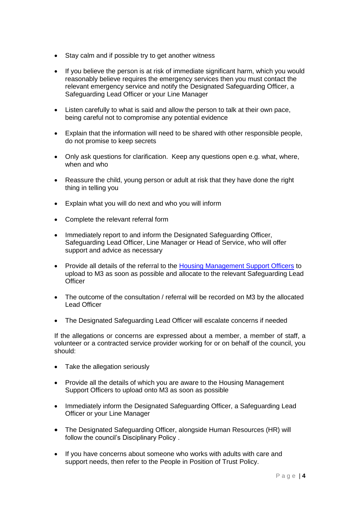- Stay calm and if possible try to get another witness
- If you believe the person is at risk of immediate significant harm, which you would reasonably believe requires the emergency services then you must contact the relevant emergency service and notify the Designated Safeguarding Officer, a Safeguarding Lead Officer or your Line Manager
- Listen carefully to what is said and allow the person to talk at their own pace, being careful not to compromise any potential evidence
- Explain that the information will need to be shared with other responsible people, do not promise to keep secrets
- Only ask questions for clarification. Keep any questions open e.g. what, where, when and who
- Reassure the child, young person or adult at risk that they have done the right thing in telling you
- Explain what you will do next and who you will inform
- Complete the relevant referral form
- Immediately report to and inform the Designated Safeguarding Officer, Safeguarding Lead Officer, Line Manager or Head of Service, who will offer support and advice as necessary
- Provide all details of the referral to the [Housing Management Support Officers](mailto:4HousingManagementSupportOfficers@ashford.gov.uk) to upload to M3 as soon as possible and allocate to the relevant Safeguarding Lead **Officer**
- The outcome of the consultation / referral will be recorded on M3 by the allocated Lead Officer
- The Designated Safeguarding Lead Officer will escalate concerns if needed

If the allegations or concerns are expressed about a member, a member of staff, a volunteer or a contracted service provider working for or on behalf of the council, you should:

- Take the allegation seriously
- Provide all the details of which you are aware to the Housing Management Support Officers to upload onto M3 as soon as possible
- Immediately inform the Designated Safeguarding Officer, a Safeguarding Lead Officer or your Line Manager
- The Designated Safeguarding Officer, alongside Human Resources (HR) will follow the council's Disciplinary Policy .
- If you have concerns about someone who works with adults with care and support needs, then refer to the People in Position of Trust Policy.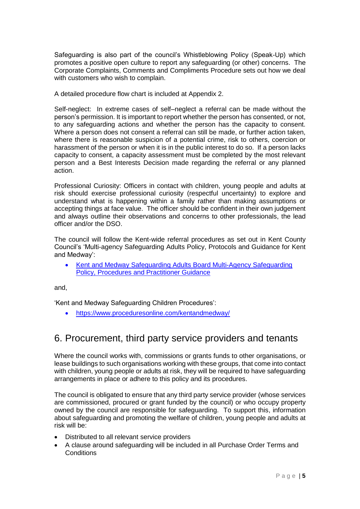Safeguarding is also part of the council's Whistleblowing Policy (Speak-Up) which promotes a positive open culture to report any safeguarding (or other) concerns. The Corporate Complaints, Comments and Compliments Procedure sets out how we deal with customers who wish to complain.

A detailed procedure flow chart is included at Appendix 2.

Self-neglect: In extreme cases of self–neglect a referral can be made without the person's permission. It is important to report whether the person has consented, or not, to any safeguarding actions and whether the person has the capacity to consent. Where a person does not consent a referral can still be made, or further action taken, where there is reasonable suspicion of a potential crime, risk to others, coercion or harassment of the person or when it is in the public interest to do so. If a person lacks capacity to consent, a capacity assessment must be completed by the most relevant person and a Best Interests Decision made regarding the referral or any planned action.

Professional Curiosity: Officers in contact with children, young people and adults at risk should exercise professional curiosity (respectful uncertainty) to explore and understand what is happening within a family rather than making assumptions or accepting things at face value. The officer should be confident in their own judgement and always outline their observations and concerns to other professionals, the lead officer and/or the DSO.

The council will follow the Kent-wide referral procedures as set out in Kent County Council's 'Multi-agency Safeguarding Adults Policy, Protocols and Guidance for Kent and Medway':

 [Kent and Medway Safeguarding Adults Board Multi-Agency Safeguarding](https://www.kent.gov.uk/__data/assets/pdf_file/0018/11574/Multi-Agency-Safeguarding-Adults-Policy,-Protocols-and-Guidance-for-Kent-and-Medway.pdf)  [Policy, Procedures and Practitioner Guidance](https://www.kent.gov.uk/__data/assets/pdf_file/0018/11574/Multi-Agency-Safeguarding-Adults-Policy,-Protocols-and-Guidance-for-Kent-and-Medway.pdf)

and,

'Kent and Medway Safeguarding Children Procedures':

<https://www.proceduresonline.com/kentandmedway/>

### <span id="page-6-0"></span>6. Procurement, third party service providers and tenants

Where the council works with, commissions or grants funds to other organisations, or lease buildings to such organisations working with these groups, that come into contact with children, young people or adults at risk, they will be required to have safeguarding arrangements in place or adhere to this policy and its procedures.

The council is obligated to ensure that any third party service provider (whose services are commissioned, procured or grant funded by the council) or who occupy property owned by the council are responsible for safeguarding. To support this, information about safeguarding and promoting the welfare of children, young people and adults at risk will be:

- Distributed to all relevant service providers
- A clause around safeguarding will be included in all Purchase Order Terms and **Conditions**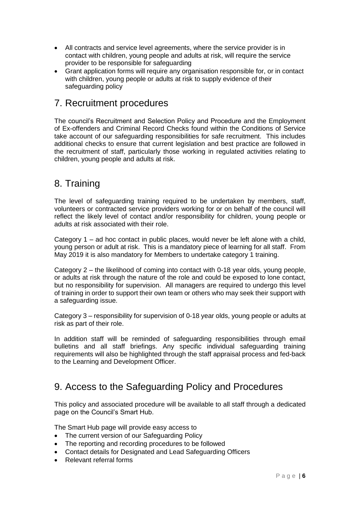- All contracts and service level agreements, where the service provider is in contact with children, young people and adults at risk, will require the service provider to be responsible for safeguarding
- Grant application forms will require any organisation responsible for, or in contact with children, young people or adults at risk to supply evidence of their safeguarding policy

### <span id="page-7-0"></span>7. Recruitment procedures

The council's Recruitment and Selection Policy and Procedure and the Employment of Ex-offenders and Criminal Record Checks found within the Conditions of Service take account of our safeguarding responsibilities for safe recruitment. This includes additional checks to ensure that current legislation and best practice are followed in the recruitment of staff, particularly those working in regulated activities relating to children, young people and adults at risk.

# <span id="page-7-1"></span>8. Training

The level of safeguarding training required to be undertaken by members, staff, volunteers or contracted service providers working for or on behalf of the council will reflect the likely level of contact and/or responsibility for children, young people or adults at risk associated with their role.

Category 1 – ad hoc contact in public places, would never be left alone with a child, young person or adult at risk. This is a mandatory piece of learning for all staff. From May 2019 it is also mandatory for Members to undertake category 1 training.

Category 2 – the likelihood of coming into contact with 0-18 year olds, young people, or adults at risk through the nature of the role and could be exposed to lone contact, but no responsibility for supervision. All managers are required to undergo this level of training in order to support their own team or others who may seek their support with a safeguarding issue.

Category 3 – responsibility for supervision of 0-18 year olds, young people or adults at risk as part of their role.

In addition staff will be reminded of safeguarding responsibilities through email bulletins and all staff briefings. Any specific individual safeguarding training requirements will also be highlighted through the staff appraisal process and fed-back to the Learning and Development Officer.

# <span id="page-7-2"></span>9. Access to the Safeguarding Policy and Procedures

This policy and associated procedure will be available to all staff through a dedicated page on the Council's Smart Hub.

The Smart Hub page will provide easy access to

- The current version of our Safeguarding Policy
- The reporting and recording procedures to be followed
- Contact details for Designated and Lead Safeguarding Officers
- Relevant referral forms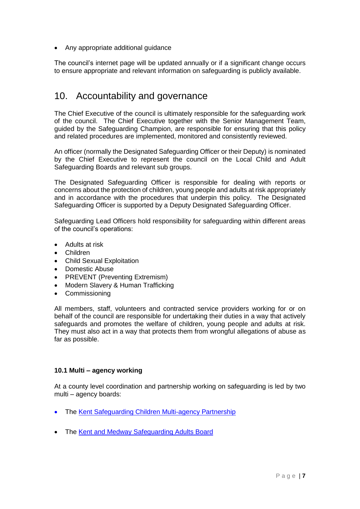Any appropriate additional guidance

The council's internet page will be updated annually or if a significant change occurs to ensure appropriate and relevant information on safeguarding is publicly available.

# <span id="page-8-0"></span>10. Accountability and governance

The Chief Executive of the council is ultimately responsible for the safeguarding work of the council. The Chief Executive together with the Senior Management Team, guided by the Safeguarding Champion, are responsible for ensuring that this policy and related procedures are implemented, monitored and consistently reviewed.

An officer (normally the Designated Safeguarding Officer or their Deputy) is nominated by the Chief Executive to represent the council on the Local Child and Adult Safeguarding Boards and relevant sub groups.

The Designated Safeguarding Officer is responsible for dealing with reports or concerns about the protection of children, young people and adults at risk appropriately and in accordance with the procedures that underpin this policy. The Designated Safeguarding Officer is supported by a Deputy Designated Safeguarding Officer.

Safeguarding Lead Officers hold responsibility for safeguarding within different areas of the council's operations:

- Adults at risk
- Children
- Child Sexual Exploitation
- Domestic Abuse
- PREVENT (Preventing Extremism)
- Modern Slavery & Human Trafficking
- Commissioning

All members, staff, volunteers and contracted service providers working for or on behalf of the council are responsible for undertaking their duties in a way that actively safeguards and promotes the welfare of children, young people and adults at risk. They must also act in a way that protects them from wrongful allegations of abuse as far as possible.

#### **10.1 Multi – agency working**

At a county level coordination and partnership working on safeguarding is led by two multi – agency boards:

- The [Kent Safeguarding Children Multi-agency Partnership](https://www.kscmp.org.uk/)
- The [Kent and Medway Safeguarding Adults Board](https://www.kmsab.org.uk/)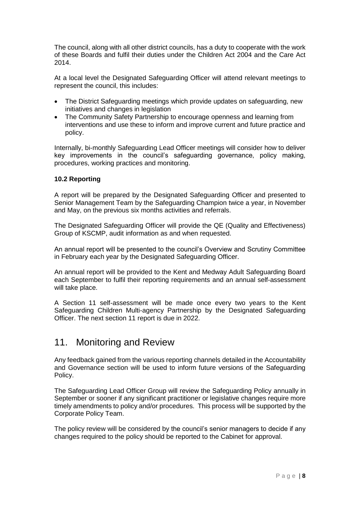The council, along with all other district councils, has a duty to cooperate with the work of these Boards and fulfil their duties under the Children Act 2004 and the Care Act 2014.

At a local level the Designated Safeguarding Officer will attend relevant meetings to represent the council, this includes:

- The District Safeguarding meetings which provide updates on safeguarding, new initiatives and changes in legislation
- The Community Safety Partnership to encourage openness and learning from interventions and use these to inform and improve current and future practice and policy.

Internally, bi-monthly Safeguarding Lead Officer meetings will consider how to deliver key improvements in the council's safeguarding governance, policy making, procedures, working practices and monitoring.

#### **10.2 Reporting**

A report will be prepared by the Designated Safeguarding Officer and presented to Senior Management Team by the Safeguarding Champion twice a year, in November and May, on the previous six months activities and referrals.

The Designated Safeguarding Officer will provide the QE (Quality and Effectiveness) Group of KSCMP, audit information as and when requested.

An annual report will be presented to the council's Overview and Scrutiny Committee in February each year by the Designated Safeguarding Officer.

An annual report will be provided to the Kent and Medway Adult Safeguarding Board each September to fulfil their reporting requirements and an annual self-assessment will take place.

A Section 11 self-assessment will be made once every two years to the Kent Safeguarding Children Multi-agency Partnership by the Designated Safeguarding Officer. The next section 11 report is due in 2022.

# <span id="page-9-0"></span>11. Monitoring and Review

Any feedback gained from the various reporting channels detailed in the Accountability and Governance section will be used to inform future versions of the Safeguarding Policy.

The Safeguarding Lead Officer Group will review the Safeguarding Policy annually in September or sooner if any significant practitioner or legislative changes require more timely amendments to policy and/or procedures. This process will be supported by the Corporate Policy Team.

The policy review will be considered by the council's senior managers to decide if any changes required to the policy should be reported to the Cabinet for approval.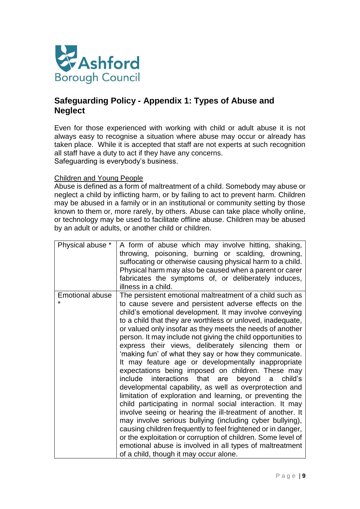

### **Safeguarding Policy - Appendix 1: Types of Abuse and Neglect**

Even for those experienced with working with child or adult abuse it is not always easy to recognise a situation where abuse may occur or already has taken place. While it is accepted that staff are not experts at such recognition all staff have a duty to act if they have any concerns. Safeguarding is everybody's business.

#### Children and Young People

Abuse is defined as a form of maltreatment of a child. Somebody may abuse or neglect a child by inflicting harm, or by failing to act to prevent harm. Children may be abused in a family or in an institutional or community setting by those known to them or, more rarely, by others. Abuse can take place wholly online, or technology may be used to facilitate offline abuse. Children may be abused by an adult or adults, or another child or children.

| Physical abuse *       | A form of abuse which may involve hitting, shaking,<br>throwing, poisoning, burning or scalding, drowning,<br>suffocating or otherwise causing physical harm to a child.<br>Physical harm may also be caused when a parent or carer<br>fabricates the symptoms of, or deliberately induces,<br>illness in a child.                                                                                                                                                                                                                                                                                                                                                                                                                                                                                                                                                                                                                                                                                                                                                                                                                                                                                            |
|------------------------|---------------------------------------------------------------------------------------------------------------------------------------------------------------------------------------------------------------------------------------------------------------------------------------------------------------------------------------------------------------------------------------------------------------------------------------------------------------------------------------------------------------------------------------------------------------------------------------------------------------------------------------------------------------------------------------------------------------------------------------------------------------------------------------------------------------------------------------------------------------------------------------------------------------------------------------------------------------------------------------------------------------------------------------------------------------------------------------------------------------------------------------------------------------------------------------------------------------|
| <b>Emotional abuse</b> | The persistent emotional maltreatment of a child such as<br>to cause severe and persistent adverse effects on the<br>child's emotional development. It may involve conveying<br>to a child that they are worthless or unloved, inadequate,<br>or valued only insofar as they meets the needs of another<br>person. It may include not giving the child opportunities to<br>express their views, deliberately silencing them or<br>'making fun' of what they say or how they communicate.<br>It may feature age or developmentally inappropriate<br>expectations being imposed on children. These may<br>interactions that are beyond a child's<br>include<br>developmental capability, as well as overprotection and<br>limitation of exploration and learning, or preventing the<br>child participating in normal social interaction. It may<br>involve seeing or hearing the ill-treatment of another. It<br>may involve serious bullying (including cyber bullying),<br>causing children frequently to feel frightened or in danger,<br>or the exploitation or corruption of children. Some level of<br>emotional abuse is involved in all types of maltreatment<br>of a child, though it may occur alone. |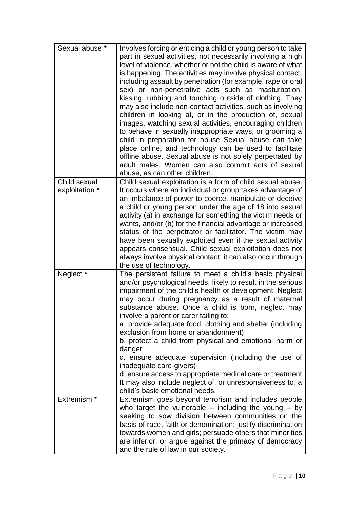| Sexual abuse *         | Involves forcing or enticing a child or young person to take |
|------------------------|--------------------------------------------------------------|
|                        | part in sexual activities, not necessarily involving a high  |
|                        | level of violence, whether or not the child is aware of what |
|                        | is happening. The activities may involve physical contact,   |
|                        | including assault by penetration (for example, rape or oral  |
|                        | sex) or non-penetrative acts such as masturbation,           |
|                        | kissing, rubbing and touching outside of clothing. They      |
|                        | may also include non-contact activities, such as involving   |
|                        | children in looking at, or in the production of, sexual      |
|                        | images, watching sexual activities, encouraging children     |
|                        | to behave in sexually inappropriate ways, or grooming a      |
|                        | child in preparation for abuse Sexual abuse can take         |
|                        | place online, and technology can be used to facilitate       |
|                        | offline abuse. Sexual abuse is not solely perpetrated by     |
|                        | adult males. Women can also commit acts of sexual            |
|                        | abuse, as can other children.                                |
| Child sexual           | Child sexual exploitation is a form of child sexual abuse.   |
| exploitation *         | It occurs where an individual or group takes advantage of    |
|                        | an imbalance of power to coerce, manipulate or deceive       |
|                        | a child or young person under the age of 18 into sexual      |
|                        | activity (a) in exchange for something the victim needs or   |
|                        | wants, and/or (b) for the financial advantage or increased   |
|                        | status of the perpetrator or facilitator. The victim may     |
|                        | have been sexually exploited even if the sexual activity     |
|                        | appears consensual. Child sexual exploitation does not       |
|                        | always involve physical contact; it can also occur through   |
|                        | the use of technology.                                       |
| Neglect <sup>*</sup>   | The persistent failure to meet a child's basic physical      |
|                        | and/or psychological needs, likely to result in the serious  |
|                        | impairment of the child's health or development. Neglect     |
|                        | may occur during pregnancy as a result of maternal           |
|                        | substance abuse. Once a child is born, neglect may           |
|                        | involve a parent or carer failing to:                        |
|                        | a. provide adequate food, clothing and shelter (including    |
|                        | exclusion from home or abandonment)                          |
|                        | b. protect a child from physical and emotional harm or       |
|                        | danger                                                       |
|                        | c. ensure adequate supervision (including the use of         |
|                        | inadequate care-givers)                                      |
|                        | d. ensure access to appropriate medical care or treatment    |
|                        | It may also include neglect of, or unresponsiveness to, a    |
|                        | child's basic emotional needs.                               |
| Extremism <sup>*</sup> | Extremism goes beyond terrorism and includes people          |
|                        | who target the vulnerable $-$ including the young $-$ by     |
|                        | seeking to sow division between communities on the           |
|                        | basis of race, faith or denomination; justify discrimination |
|                        | towards women and girls; persuade others that minorities     |
|                        | are inferior; or argue against the primacy of democracy      |
|                        | and the rule of law in our society.                          |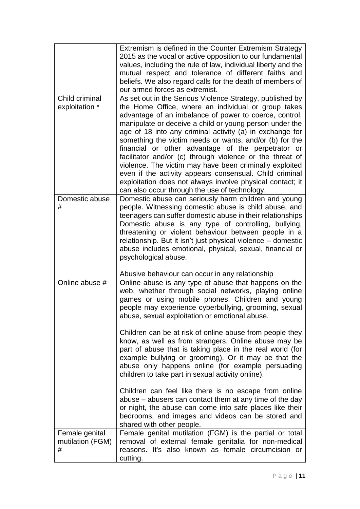|                  | Extremism is defined in the Counter Extremism Strategy        |
|------------------|---------------------------------------------------------------|
|                  | 2015 as the vocal or active opposition to our fundamental     |
|                  | values, including the rule of law, individual liberty and the |
|                  | mutual respect and tolerance of different faiths and          |
|                  | beliefs. We also regard calls for the death of members of     |
|                  | our armed forces as extremist.                                |
| Child criminal   | As set out in the Serious Violence Strategy, published by     |
| exploitation *   | the Home Office, where an individual or group takes           |
|                  | advantage of an imbalance of power to coerce, control,        |
|                  | manipulate or deceive a child or young person under the       |
|                  | age of 18 into any criminal activity (a) in exchange for      |
|                  | something the victim needs or wants, and/or (b) for the       |
|                  |                                                               |
|                  | financial or other advantage of the perpetrator or            |
|                  | facilitator and/or (c) through violence or the threat of      |
|                  | violence. The victim may have been criminally exploited       |
|                  | even if the activity appears consensual. Child criminal       |
|                  | exploitation does not always involve physical contact; it     |
|                  | can also occur through the use of technology.                 |
| Domestic abuse   | Domestic abuse can seriously harm children and young          |
| #                | people. Witnessing domestic abuse is child abuse, and         |
|                  | teenagers can suffer domestic abuse in their relationships    |
|                  | Domestic abuse is any type of controlling, bullying,          |
|                  | threatening or violent behaviour between people in a          |
|                  | relationship. But it isn't just physical violence – domestic  |
|                  | abuse includes emotional, physical, sexual, financial or      |
|                  | psychological abuse.                                          |
|                  | Abusive behaviour can occur in any relationship               |
| Online abuse #   | Online abuse is any type of abuse that happens on the         |
|                  | web, whether through social networks, playing online          |
|                  | games or using mobile phones. Children and young              |
|                  | people may experience cyberbullying, grooming, sexual         |
|                  | abuse, sexual exploitation or emotional abuse.                |
|                  |                                                               |
|                  | Children can be at risk of online abuse from people they      |
|                  | know, as well as from strangers. Online abuse may be          |
|                  | part of abuse that is taking place in the real world (for     |
|                  | example bullying or grooming). Or it may be that the          |
|                  | abuse only happens online (for example persuading             |
|                  | children to take part in sexual activity online).             |
|                  |                                                               |
|                  | Children can feel like there is no escape from online         |
|                  | abuse – abusers can contact them at any time of the day       |
|                  | or night, the abuse can come into safe places like their      |
|                  | bedrooms, and images and videos can be stored and             |
|                  | shared with other people.                                     |
| Female genital   | Female genital mutilation (FGM) is the partial or total       |
| mutilation (FGM) | removal of external female genitalia for non-medical          |
| #                | reasons. It's also known as female circumcision or            |
|                  | cutting.                                                      |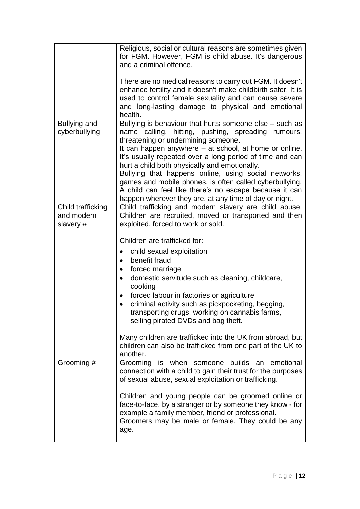|                                             | Religious, social or cultural reasons are sometimes given<br>for FGM. However, FGM is child abuse. It's dangerous<br>and a criminal offence.                                                                                                                                                                                                                                                                                                                                                                                                                         |
|---------------------------------------------|----------------------------------------------------------------------------------------------------------------------------------------------------------------------------------------------------------------------------------------------------------------------------------------------------------------------------------------------------------------------------------------------------------------------------------------------------------------------------------------------------------------------------------------------------------------------|
|                                             | There are no medical reasons to carry out FGM. It doesn't<br>enhance fertility and it doesn't make childbirth safer. It is<br>used to control female sexuality and can cause severe<br>and long-lasting damage to physical and emotional<br>health.                                                                                                                                                                                                                                                                                                                  |
| Bullying and<br>cyberbullying               | Bullying is behaviour that hurts someone else – such as<br>name calling, hitting, pushing, spreading rumours,<br>threatening or undermining someone.<br>It can happen anywhere $-$ at school, at home or online.<br>It's usually repeated over a long period of time and can<br>hurt a child both physically and emotionally.<br>Bullying that happens online, using social networks,<br>games and mobile phones, is often called cyberbullying.<br>A child can feel like there's no escape because it can<br>happen wherever they are, at any time of day or night. |
| Child trafficking<br>and modern<br>slavery# | Child trafficking and modern slavery are child abuse.<br>Children are recruited, moved or transported and then<br>exploited, forced to work or sold.                                                                                                                                                                                                                                                                                                                                                                                                                 |
|                                             | Children are trafficked for:<br>child sexual exploitation<br>$\bullet$<br>benefit fraud<br>$\bullet$<br>forced marriage<br>$\bullet$<br>domestic servitude such as cleaning, childcare,<br>$\bullet$<br>cooking<br>forced labour in factories or agriculture<br>$\bullet$<br>criminal activity such as pickpocketing, begging,<br>transporting drugs, working on cannabis farms,<br>selling pirated DVDs and bag theft.<br>Many children are trafficked into the UK from abroad, but<br>children can also be trafficked from one part of the UK to<br>another.       |
| Grooming #                                  | is when someone builds an<br>emotional<br>Grooming<br>connection with a child to gain their trust for the purposes<br>of sexual abuse, sexual exploitation or trafficking.<br>Children and young people can be groomed online or<br>face-to-face, by a stranger or by someone they know - for<br>example a family member, friend or professional.<br>Groomers may be male or female. They could be any<br>age.                                                                                                                                                       |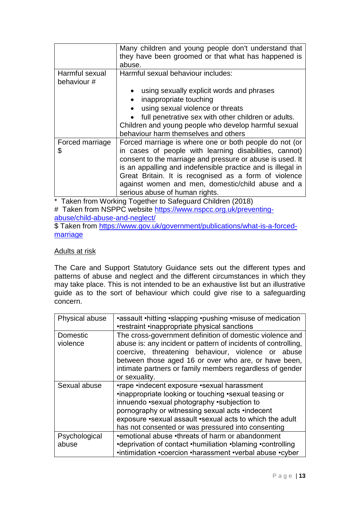|                              | Many children and young people don't understand that        |
|------------------------------|-------------------------------------------------------------|
|                              | they have been groomed or that what has happened is         |
|                              | abuse.                                                      |
| Harmful sexual<br>behaviour# | Harmful sexual behaviour includes:                          |
|                              | using sexually explicit words and phrases                   |
|                              | inappropriate touching                                      |
|                              | using sexual violence or threats                            |
|                              | full penetrative sex with other children or adults.         |
|                              | Children and young people who develop harmful sexual        |
|                              | behaviour harm themselves and others                        |
| Forced marriage              | Forced marriage is where one or both people do not (or      |
| S                            | in cases of people with learning disabilities, cannot)      |
|                              | consent to the marriage and pressure or abuse is used. It   |
|                              | is an appalling and indefensible practice and is illegal in |
|                              | Great Britain. It is recognised as a form of violence       |
|                              | against women and men, domestic/child abuse and a           |
|                              | serious abuse of human rights.                              |
| $\mathbf{M}$                 | $\sqrt{2}$                                                  |

\* Taken from Working Together to Safeguard Children (2018) # Taken from NSPPC website [https://www.nspcc.org.uk/preventing](https://www.nspcc.org.uk/preventing-abuse/child-abuse-and-neglect/)[abuse/child-abuse-and-neglect/](https://www.nspcc.org.uk/preventing-abuse/child-abuse-and-neglect/) \$ Taken from [https://www.gov.uk/government/publications/what-is-a-forced](https://www.gov.uk/government/publications/what-is-a-forced-marriage)[marriage](https://www.gov.uk/government/publications/what-is-a-forced-marriage)

#### Adults at risk

The Care and Support Statutory Guidance sets out the different types and patterns of abuse and neglect and the different circumstances in which they may take place. This is not intended to be an exhaustive list but an illustrative guide as to the sort of behaviour which could give rise to a safeguarding concern.

| Physical abuse         | •assault •hitting •slapping •pushing •misuse of medication<br>•restraint •inappropriate physical sanctions                                                                                                                                                                                                               |
|------------------------|--------------------------------------------------------------------------------------------------------------------------------------------------------------------------------------------------------------------------------------------------------------------------------------------------------------------------|
| Domestic<br>violence   | The cross-government definition of domestic violence and<br>abuse is: any incident or pattern of incidents of controlling,<br>coercive, threatening behaviour, violence or abuse<br>between those aged 16 or over who are, or have been,<br>intimate partners or family members regardless of gender<br>or sexuality.    |
| Sexual abuse           | •rape •indecent exposure •sexual harassment<br>•inappropriate looking or touching •sexual teasing or<br>innuendo •sexual photography •subjection to<br>pornography or witnessing sexual acts •indecent<br>exposure •sexual assault •sexual acts to which the adult<br>has not consented or was pressured into consenting |
| Psychological<br>abuse | •emotional abuse •threats of harm or abandonment<br>•deprivation of contact •humiliation •blaming •controlling<br>.intimidation .coercion .harassment .verbal abuse .cyber                                                                                                                                               |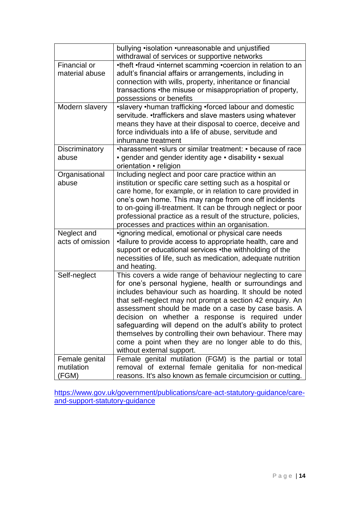|                  | bullying •isolation •unreasonable and unjustified                                                                 |
|------------------|-------------------------------------------------------------------------------------------------------------------|
|                  | withdrawal of services or supportive networks                                                                     |
| Financial or     | •theft •fraud •internet scamming •coercion in relation to an                                                      |
| material abuse   | adult's financial affairs or arrangements, including in                                                           |
|                  | connection with wills, property, inheritance or financial                                                         |
|                  | transactions •the misuse or misappropriation of property,                                                         |
|                  | possessions or benefits                                                                                           |
| Modern slavery   | •slavery •human trafficking •forced labour and domestic                                                           |
|                  | servitude. •traffickers and slave masters using whatever                                                          |
|                  | means they have at their disposal to coerce, deceive and<br>force individuals into a life of abuse, servitude and |
|                  | inhumane treatment                                                                                                |
| Discriminatory   | •harassment •slurs or similar treatment: • because of race                                                        |
| abuse            | gender and gender identity age · disability · sexual                                                              |
|                  | orientation · religion                                                                                            |
| Organisational   | Including neglect and poor care practice within an                                                                |
| abuse            | institution or specific care setting such as a hospital or                                                        |
|                  | care home, for example, or in relation to care provided in                                                        |
|                  | one's own home. This may range from one off incidents                                                             |
|                  | to on-going ill-treatment. It can be through neglect or poor                                                      |
|                  | professional practice as a result of the structure, policies,                                                     |
|                  | processes and practices within an organisation.                                                                   |
| Neglect and      | •ignoring medical, emotional or physical care needs                                                               |
| acts of omission | •failure to provide access to appropriate health, care and                                                        |
|                  | support or educational services •the withholding of the                                                           |
|                  | necessities of life, such as medication, adequate nutrition                                                       |
|                  | and heating.                                                                                                      |
| Self-neglect     | This covers a wide range of behaviour neglecting to care                                                          |
|                  | for one's personal hygiene, health or surroundings and                                                            |
|                  | includes behaviour such as hoarding. It should be noted                                                           |
|                  | that self-neglect may not prompt a section 42 enquiry. An                                                         |
|                  | assessment should be made on a case by case basis. A<br>decision on whether a response is required under          |
|                  | safeguarding will depend on the adult's ability to protect                                                        |
|                  | themselves by controlling their own behaviour. There may                                                          |
|                  | come a point when they are no longer able to do this,                                                             |
|                  | without external support.                                                                                         |
| Female genital   | Female genital mutilation (FGM) is the partial or total                                                           |
| mutilation       | removal of external female genitalia for non-medical                                                              |
| (FGM)            | reasons. It's also known as female circumcision or cutting.                                                       |

[https://www.gov.uk/government/publications/care-act-statutory-guidance/care](https://www.gov.uk/government/publications/care-act-statutory-guidance/care-and-support-statutory-guidance)[and-support-statutory-guidance](https://www.gov.uk/government/publications/care-act-statutory-guidance/care-and-support-statutory-guidance)